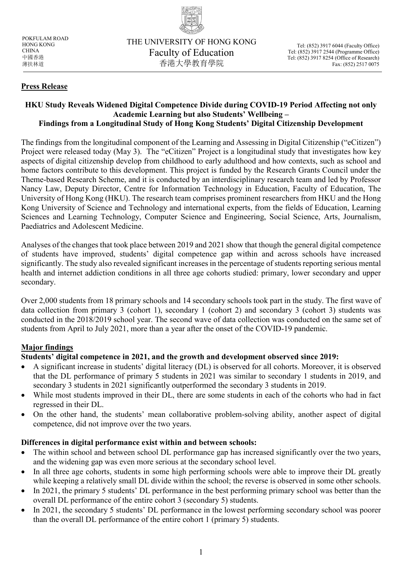

POKFULAM ROAD HONG KONG **CHINA** 中國香港 薄扶林道

## **Press Release**

#### **HKU Study Reveals Widened Digital Competence Divide during COVID-19 Period Affecting not only Academic Learning but also Students' Wellbeing – Findings from a Longitudinal Study of Hong Kong Students' Digital Citizenship Development**

The findings from the longitudinal component of the Learning and Assessing in Digital Citizenship ("eCitizen") Project were released today (May 3). The "eCitizen" Project is a longitudinal study that investigates how key aspects of digital citizenship develop from childhood to early adulthood and how contexts, such as school and home factors contribute to this development. This project is funded by the Research Grants Council under the Theme-based Research Scheme, and it is conducted by an interdisciplinary research team and led by Professor Nancy Law, Deputy Director, Centre for Information Technology in Education, Faculty of Education, The University of Hong Kong (HKU). The research team comprises prominent researchers from HKU and the Hong Kong University of Science and Technology and international experts, from the fields of Education, Learning Sciences and Learning Technology, Computer Science and Engineering, Social Science, Arts, Journalism, Paediatrics and Adolescent Medicine.

Analyses of the changes that took place between 2019 and 2021 show that though the general digital competence of students have improved, students' digital competence gap within and across schools have increased significantly. The study also revealed significant increases in the percentage of students reporting serious mental health and internet addiction conditions in all three age cohorts studied: primary, lower secondary and upper secondary.

Over 2,000 students from 18 primary schools and 14 secondary schools took part in the study. The first wave of data collection from primary 3 (cohort 1), secondary 1 (cohort 2) and secondary 3 (cohort 3) students was conducted in the 2018/2019 school year. The second wave of data collection was conducted on the same set of students from April to July 2021, more than a year after the onset of the COVID-19 pandemic.

### **Major findings**

# **Students' digital competence in 2021, and the growth and development observed since 2019:**

- A significant increase in students' digital literacy (DL) is observed for all cohorts. Moreover, it is observed that the DL performance of primary 5 students in 2021 was similar to secondary 1 students in 2019, and secondary 3 students in 2021 significantly outperformed the secondary 3 students in 2019.
- While most students improved in their DL, there are some students in each of the cohorts who had in fact regressed in their DL.
- On the other hand, the students' mean collaborative problem-solving ability, another aspect of digital competence, did not improve over the two years.

### **Differences in digital performance exist within and between schools:**

- The within school and between school DL performance gap has increased significantly over the two years, and the widening gap was even more serious at the secondary school level.
- In all three age cohorts, students in some high performing schools were able to improve their DL greatly while keeping a relatively small DL divide within the school; the reverse is observed in some other schools.
- In 2021, the primary 5 students' DL performance in the best performing primary school was better than the overall DL performance of the entire cohort 3 (secondary 5) students.
- In 2021, the secondary 5 students' DL performance in the lowest performing secondary school was poorer than the overall DL performance of the entire cohort 1 (primary 5) students.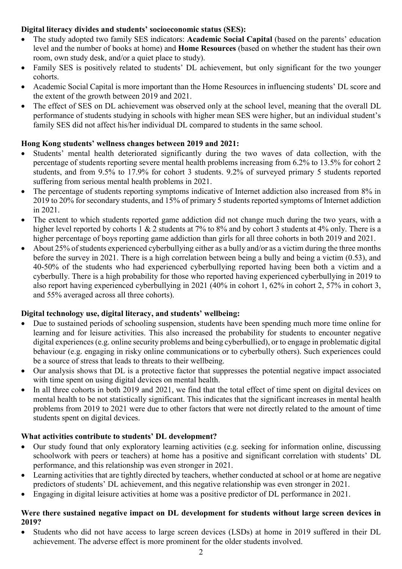## **Digital literacy divides and students' socioeconomic status (SES):**

- The study adopted two family SES indicators: **Academic Social Capital** (based on the parents' education level and the number of books at home) and **Home Resources** (based on whether the student has their own room, own study desk, and/or a quiet place to study).
- Family SES is positively related to students' DL achievement, but only significant for the two younger cohorts.
- Academic Social Capital is more important than the Home Resources in influencing students' DL score and the extent of the growth between 2019 and 2021.
- The effect of SES on DL achievement was observed only at the school level, meaning that the overall DL performance of students studying in schools with higher mean SES were higher, but an individual student's family SES did not affect his/her individual DL compared to students in the same school.

## **Hong Kong students' wellness changes between 2019 and 2021:**

- Students' mental health deteriorated significantly during the two waves of data collection, with the percentage of students reporting severe mental health problems increasing from 6.2% to 13.5% for cohort 2 students, and from 9.5% to 17.9% for cohort 3 students. 9.2% of surveyed primary 5 students reported suffering from serious mental health problems in 2021.
- The percentage of students reporting symptoms indicative of Internet addiction also increased from 8% in 2019 to 20% for secondary students, and 15% of primary 5 students reported symptoms of Internet addiction in 2021.
- The extent to which students reported game addiction did not change much during the two years, with a higher level reported by cohorts 1 & 2 students at 7% to 8% and by cohort 3 students at 4% only. There is a higher percentage of boys reporting game addiction than girls for all three cohorts in both 2019 and 2021.
- About 25% of students experienced cyberbullying either as a bully and/or as a victim during the three months before the survey in 2021. There is a high correlation between being a bully and being a victim (0.53), and 40-50% of the students who had experienced cyberbullying reported having been both a victim and a cyberbully. There is a high probability for those who reported having experienced cyberbullying in 2019 to also report having experienced cyberbullying in 2021 (40% in cohort 1, 62% in cohort 2, 57% in cohort 3, and 55% averaged across all three cohorts).

### **Digital technology use, digital literacy, and students' wellbeing:**

- Due to sustained periods of schooling suspension, students have been spending much more time online for learning and for leisure activities. This also increased the probability for students to encounter negative digital experiences (e.g. online security problems and being cyberbullied), or to engage in problematic digital behaviour (e.g. engaging in risky online communications or to cyberbully others). Such experiences could be a source of stress that leads to threats to their wellbeing.
- Our analysis shows that DL is a protective factor that suppresses the potential negative impact associated with time spent on using digital devices on mental health.
- In all three cohorts in both 2019 and 2021, we find that the total effect of time spent on digital devices on mental health to be not statistically significant. This indicates that the significant increases in mental health problems from 2019 to 2021 were due to other factors that were not directly related to the amount of time students spent on digital devices.

### **What activities contribute to students' DL development?**

- Our study found that only exploratory learning activities (e.g. seeking for information online, discussing schoolwork with peers or teachers) at home has a positive and significant correlation with students' DL performance, and this relationship was even stronger in 2021.
- Learning activities that are tightly directed by teachers, whether conducted at school or at home are negative predictors of students' DL achievement, and this negative relationship was even stronger in 2021.
- Engaging in digital leisure activities at home was a positive predictor of DL performance in 2021.

## **Were there sustained negative impact on DL development for students without large screen devices in 2019?**

• Students who did not have access to large screen devices (LSDs) at home in 2019 suffered in their DL achievement. The adverse effect is more prominent for the older students involved.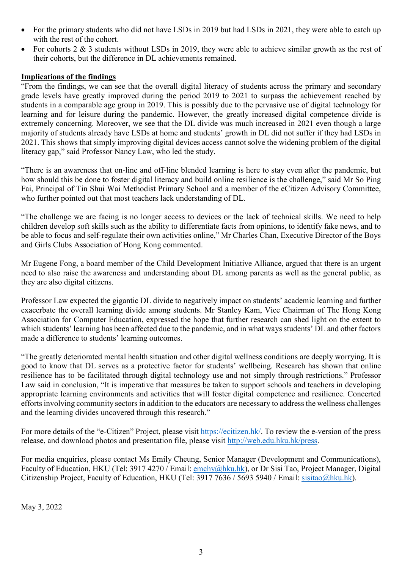- For the primary students who did not have LSDs in 2019 but had LSDs in 2021, they were able to catch up with the rest of the cohort.
- For cohorts 2 & 3 students without LSDs in 2019, they were able to achieve similar growth as the rest of their cohorts, but the difference in DL achievements remained.

#### **Implications of the findings**

"From the findings, we can see that the overall digital literacy of students across the primary and secondary grade levels have greatly improved during the period 2019 to 2021 to surpass the achievement reached by students in a comparable age group in 2019. This is possibly due to the pervasive use of digital technology for learning and for leisure during the pandemic. However, the greatly increased digital competence divide is extremely concerning. Moreover, we see that the DL divide was much increased in 2021 even though a large majority of students already have LSDs at home and students' growth in DL did not suffer if they had LSDs in 2021. This shows that simply improving digital devices access cannot solve the widening problem of the digital literacy gap," said Professor Nancy Law, who led the study.

"There is an awareness that on-line and off-line blended learning is here to stay even after the pandemic, but how should this be done to foster digital literacy and build online resilience is the challenge," said Mr So Ping Fai, Principal of Tin Shui Wai Methodist Primary School and a member of the eCitizen Advisory Committee, who further pointed out that most teachers lack understanding of DL.

"The challenge we are facing is no longer access to devices or the lack of technical skills. We need to help children develop soft skills such as the ability to differentiate facts from opinions, to identify fake news, and to be able to focus and self-regulate their own activities online," Mr Charles Chan, Executive Director of the Boys and Girls Clubs Association of Hong Kong commented.

Mr Eugene Fong, a board member of the Child Development Initiative Alliance, argued that there is an urgent need to also raise the awareness and understanding about DL among parents as well as the general public, as they are also digital citizens.

Professor Law expected the gigantic DL divide to negatively impact on students' academic learning and further exacerbate the overall learning divide among students. Mr Stanley Kam, Vice Chairman of The Hong Kong Association for Computer Education, expressed the hope that further research can shed light on the extent to which students' learning has been affected due to the pandemic, and in what ways students' DL and other factors made a difference to students' learning outcomes.

"The greatly deteriorated mental health situation and other digital wellness conditions are deeply worrying. It is good to know that DL serves as a protective factor for students' wellbeing. Research has shown that online resilience has to be facilitated through digital technology use and not simply through restrictions." Professor Law said in conclusion, "It is imperative that measures be taken to support schools and teachers in developing appropriate learning environments and activities that will foster digital competence and resilience. Concerted efforts involving community sectors in addition to the educators are necessary to address the wellness challenges and the learning divides uncovered through this research."

For more details of the "e-Citizen" Project, please visit [https://ecitizen.hk/.](https://ecitizen.hk/) To review the e-version of the press release, and download photos and presentation file, please visit [http://web.edu.hku.hk/press.](http://web.edu.hku.hk/press)

For media enquiries, please contact Ms Emily Cheung, Senior Manager (Development and Communications), Faculty of Education, HKU (Tel: 3917 4270 / Email: [emchy@hku.hk\)](mailto:emchy@hku.hk), or Dr Sisi Tao, Project Manager, Digital Citizenship Project, Faculty of Education, HKU (Tel: 3917 7636 / 5693 5940 / Email: [sisitao@hku.hk\)](mailto:wpsmona@hku.hk).

May 3, 2022